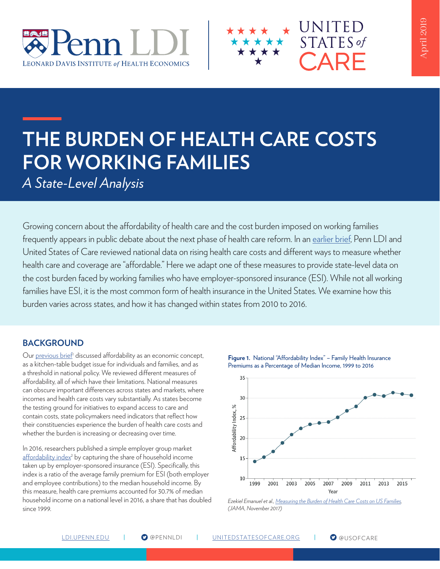



*A State-Level Analysis*

Growing concern about the affordability of health care and the cost burden imposed on working families frequently appears in public debate about the next phase of health care reform. In an [earlier brief,](https://ldi.upenn.edu/brief/what-affordable-health-care) Penn LDI and United States of Care reviewed national data on rising health care costs and different ways to measure whether health care and coverage are "affordable." Here we adapt one of these measures to provide state-level data on the cost burden faced by working families who have employer-sponsored insurance (ESI). While not all working families have ESI, it is the most common form of health insurance in the United States. We examine how this burden varies across states, and how it has changed within states from 2010 to 2016.

## **BACKGROUND**

Our previous brief<sup>1</sup> discussed affordability as an economic concept, as a kitchen-table budget issue for individuals and families, and as a threshold in national policy. We reviewed different measures of affordability, all of which have their limitations. National measures can obscure important differences across states and markets, where incomes and health care costs vary substantially. As states become the testing ground for initiatives to expand access to care and contain costs, state policymakers need indicators that reflect how their constituencies experience the burden of health care costs and whether the burden is increasing or decreasing over time.

In 2016, researchers published a simple employer group market affordability index<sup>2</sup> by capturing the share of household income taken up by employer-sponsored insurance (ESI). Specifically, this index is a ratio of the average family premium for ESI (both employer and employee contributions) to the median household income. By this measure, health care premiums accounted for 30.7% of median household income on a national level in 2016, a share that has doubled since 1999.



*Ezekiel Emanuel et al., [Measuring the Burden of Health Care Costs on US Families](https://jamanetwork.com/journals/jama/fullarticle/2661699), (JAMA, November 2017)*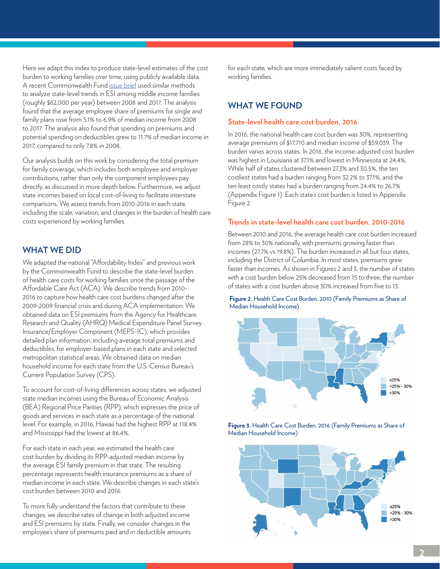Here we adapt this index to produce state-level estimates of the cost burden to working families over time, using publicly available data. A recent [Commonwealth Fund issue brief](https://www.commonwealthfund.org/publications/issue-briefs/2018/dec/cost-employer-insurance-growing-burden-middle-income-families) used similar methods to analyze state-level trends in ESI among middle income families (roughly \$62,000 per year) between 2008 and 2017. The analysis found that the average employee share of premiums for single and family plans rose from 5.1% to 6.9% of median income from 2008 to 2017. The analysis also found that spending on premiums and potential spending on deductibles grew to 11.7% of median income in 2017, compared to only 7.8% in 2008.

Our analysis builds on this work by considering the total premium for family coverage, which includes both employee and employer contributions, rather than only the component employees pay directly, as discussed in more depth below. Furthermore, we adjust state incomes based on local cost-of-living to facilitate interstate comparisons. We assess trends from 2010-2016 in each state, including the scale, variation, and changes in the burden of health care costs experienced by working families.

## **WHAT WE DID**

We adapted the national "Affordability Index" and previous work by the Commonwealth Fund to describe the state-level burden of health care costs for working families since the passage of the Affordable Care Act (ACA). We describe trends from 2010- 2016 to capture how health care cost burdens changed after the 2009-2009 financial crisis and during ACA implementation. We obtained data on ESI premiums from the Agency for Healthcare Research and Quality (AHRQ) Medical Expenditure Panel Survey Insurance/Employer Component (MEPS-IC), which provides detailed plan information, including average total premiums and deductibles, for employer-based plans in each state and selected metropolitan statistical areas. We obtained data on median household income for each state from the U.S. Census Bureau's Current Population Survey (CPS).

To account for cost-of-living differences across states, we adjusted state median incomes using the Bureau of Economic Analysis (BEA) Regional Price Parities (RPP), which expresses the price of goods and services in each state as a percentage of the national level. For example, in 2016, Hawaii had the highest RPP at 118.4% and Mississippi had the lowest at 86.4%.

For each state in each year, we estimated the health care cost burden by dividing its RPP-adjusted median income by the average ESI family premium in that state. The resulting percentage represents health insurance premiums as a share of median income in each state. We describe changes in each state's cost burden between 2010 and 2016.

To more fully understand the factors that contribute to these changes, we describe rates of change in both adjusted income and ESI premiums by state. Finally, we consider changes in the employee's share of premiums paid and in deductible amounts for each state, which are more immediately salient costs faced by working families.

## **WHAT WE FOUND**

### **State-level health care cost burden, 2016**

In 2016, the national health care cost burden was 30%, representing average premiums of \$17,710 and median income of \$59,039. The burden varies across states. In 2016, the income-adjusted cost burden was highest in Louisiana at 37.1% and lowest in Minnesota at 24.4%. While half of states clustered between 27.3% and 30.5%, the ten costliest states had a burden ranging from 32.2% to 37.1%, and the ten least costly states had a burden ranging from 24.4% to 26.7% (Appendix Figure 1). Each state's cost burden is listed in Appendix Figure 2.

### **Trends in state-level health care cost burden, 2010-2016**

Between 2010 and 2016, the average health care cost burden increased from 28% to 30% nationally, with premiums growing faster than incomes (27.7% vs 19.8%). The burden increased in all but four states, including the District of Columbia. In most states, premiums grew faster than incomes. As shown in Figures 2 and 3, the number of states with a cost burden below 25% decreased from 15 to three; the number of states with a cost burden above 30% increased from five to 13.

**Figure 2.** Health Care Cost Burden, 2010 (Family Premiums as Share of Median Household Income)



**Figure 3.** Health Care Cost Burden, 2016 (Family Premiums as Share of Median Household Income)

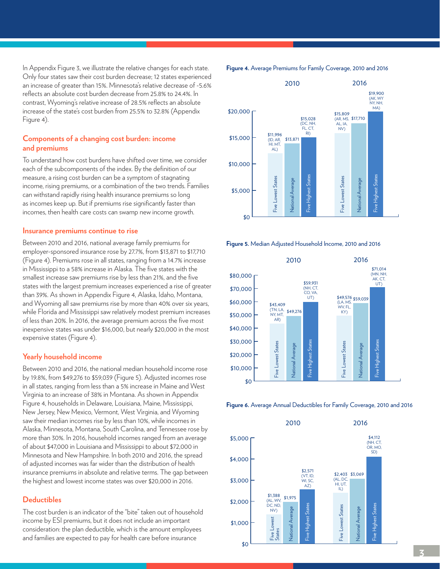In Appendix Figure 3, we illustrate the relative changes for each state. Only four states saw their cost burden decrease; 12 states experienced an increase of greater than 15%. Minnesota's relative decrease of -5.6% reflects an absolute cost burden decrease from 25.8% to 24.4%. In contrast, Wyoming's relative increase of 28.5% reflects an absolute increase of the state's cost burden from 25.5% to 32.8% (Appendix Figure 4).

### **Components of a changing cost burden: income and premiums**

To understand how cost burdens have shifted over time, we consider each of the subcomponents of the index. By the definition of our measure, a rising cost burden can be a symptom of stagnating income, rising premiums, or a combination of the two trends. Families can withstand rapidly rising health insurance premiums so long as incomes keep up. But if premiums rise significantly faster than incomes, then health care costs can swamp new income growth.

#### **Insurance premiums continue to rise**

Between 2010 and 2016, national average family premiums for employer-sponsored insurance rose by 27.7%, from \$13,871 to \$17,710 (Figure 4). Premiums rose in all states, ranging from a 14.7% increase in Mississippi to a 58% increase in Alaska. The five states with the smallest increase saw premiums rise by less than 21%, and the five states with the largest premium increases experienced a rise of greater than 39%. As shown in Appendix Figure 4, Alaska, Idaho, Montana, and Wyoming all saw premiums rise by more than 40% over six years, while Florida and Mississippi saw relatively modest premium increases of less than 20%. In 2016, the average premium across the five most inexpensive states was under \$16,000, but nearly \$20,000 in the most expensive states (Figure 4).

### **Yearly household income**

Between 2010 and 2016, the national median household income rose by 19.8%, from \$49,276 to \$59,039 (Figure 5). Adjusted incomes rose in all states, ranging from less than a 5% increase in Maine and West Virginia to an increase of 38% in Montana. As shown in Appendix Figure 4, households in Delaware, Louisiana, Maine, Mississippi, New Jersey, New Mexico, Vermont, West Virginia, and Wyoming saw their median incomes rise by less than 10%, while incomes in Alaska, Minnesota, Montana, South Carolina, and Tennessee rose by more than 30%. In 2016, household incomes ranged from an average of about \$47,000 in Louisiana and Mississippi to about \$72,000 in Minnesota and New Hampshire. In both 2010 and 2016, the spread of adjusted incomes was far wider than the distribution of health insurance premiums in absolute and relative terms. The gap between the highest and lowest income states was over \$20,000 in 2016.

### **Deductibles**

The cost burden is an indicator of the "bite" taken out of household income by ESI premiums, but it does not include an important consideration: the plan deductible, which is the amount employees and families are expected to pay for health care before insurance

**Figure 4.** Average Premiums for Family Coverage, 2010 and 2016

Five Highest States

Five Lowest States

National Average

Five Highest States

Five Lowest States

National Average

\$10,000



\$0 2010 2016 **Figure 5.** Median Adjusted Household Income, 2010 and 2016



2010 2016 **Figure 6.** Average Annual Deductibles for Family Coverage, 2010 and 2016



2010 2010 2010 2010 2010 2010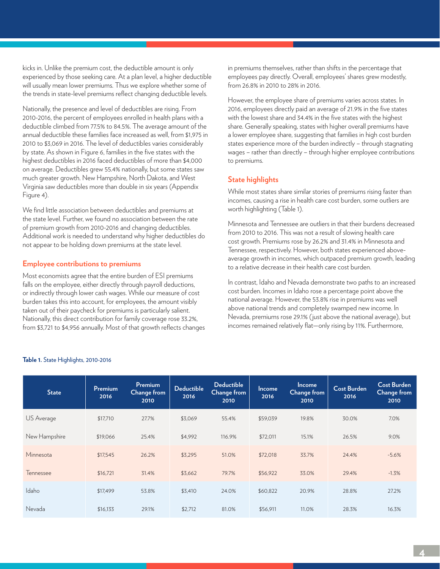kicks in. Unlike the premium cost, the deductible amount is only experienced by those seeking care. At a plan level, a higher deductible will usually mean lower premiums. Thus we explore whether some of the trends in state-level premiums reflect changing deductible levels.

Nationally, the presence and level of deductibles are rising. From 2010-2016, the percent of employees enrolled in health plans with a deductible climbed from 77.5% to 84.5%. The average amount of the annual deductible these families face increased as well, from \$1,975 in 2010 to \$3,069 in 2016. The level of deductibles varies considerably by state. As shown in Figure 6, families in the five states with the highest deductibles in 2016 faced deductibles of more than \$4,000 on average. Deductibles grew 55.4% nationally, but some states saw much greater growth. New Hampshire, North Dakota, and West Virginia saw deductibles more than double in six years (Appendix Figure 4).

We find little association between deductibles and premiums at the state level. Further, we found no association between the rate of premium growth from 2010-2016 and changing deductibles. Additional work is needed to understand why higher deductibles do not appear to be holding down premiums at the state level.

### **Employee contributions to premiums**

Most economists agree that the entire burden of ESI premiums falls on the employee, either directly through payroll deductions, or indirectly through lower cash wages. While our measure of cost burden takes this into account, for employees, the amount visibly taken out of their paycheck for premiums is particularly salient. Nationally, this direct contribution for family coverage rose 33.2%, from \$3,721 to \$4,956 annually. Most of that growth reflects changes in premiums themselves, rather than shifts in the percentage that employees pay directly. Overall, employees' shares grew modestly, from 26.8% in 2010 to 28% in 2016.

However, the employee share of premiums varies across states. In 2016, employees directly paid an average of 21.9% in the five states with the lowest share and 34.4% in the five states with the highest share. Generally speaking, states with higher overall premiums have a lower employee share, suggesting that families in high cost burden states experience more of the burden indirectly – through stagnating wages – rather than directly – through higher employee contributions to premiums.

## **State highlights**

While most states share similar stories of premiums rising faster than incomes, causing a rise in health care cost burden, some outliers are worth highlighting (Table 1).

Minnesota and Tennessee are outliers in that their burdens decreased from 2010 to 2016. This was not a result of slowing health care cost growth. Premiums rose by 26.2% and 31.4% in Minnesota and Tennessee, respectively. However, both states experienced aboveaverage growth in incomes, which outpaced premium growth, leading to a relative decrease in their health care cost burden.

In contrast, Idaho and Nevada demonstrate two paths to an increased cost burden. Incomes in Idaho rose a percentage point above the national average. However, the 53.8% rise in premiums was well above national trends and completely swamped new income. In Nevada, premiums rose 29.1% (just above the national average), but incomes remained relatively flat—only rising by 11%. Furthermore,

| <b>State</b>  | Premium<br>2016 | Premium<br><b>Change from</b><br>2010 | <b>Deductible</b><br>2016 | <b>Deductible</b><br><b>Change from</b><br>2010 | <b>Income</b><br>2016 | <b>Income</b><br>Change from<br>2010 | <b>Cost Burden</b><br>2016 | <b>Cost Burden</b><br>Change from<br>2010 |
|---------------|-----------------|---------------------------------------|---------------------------|-------------------------------------------------|-----------------------|--------------------------------------|----------------------------|-------------------------------------------|
| US Average    | \$17,710        | 27.7%                                 | \$3,069                   | 55.4%                                           | \$59,039              | 19.8%                                | 30.0%                      | 7.0%                                      |
| New Hampshire | \$19,066        | 25.4%                                 | \$4,992                   | 116.9%                                          | \$72,011              | 15.1%                                | 26.5%                      | 9.0%                                      |
| Minnesota     | \$17,545        | 26.2%                                 | \$3,295                   | 51.0%                                           | \$72,018              | 33.7%                                | 24.4%                      | $-5.6%$                                   |
| Tennessee     | \$16,721        | 31.4%                                 | \$3,662                   | 79.7%                                           | \$56,922              | 33.0%                                | 29.4%                      | $-1.3%$                                   |
| Idaho         | \$17,499        | 53.8%                                 | \$3,410                   | 24.0%                                           | \$60,822              | 20.9%                                | 28.8%                      | 27.2%                                     |
| Nevada        | \$16,133        | 29.1%                                 | \$2,712                   | 81.0%                                           | \$56,911              | 11.0%                                | 28.3%                      | 16.3%                                     |

### **Table 1.** State Highlights, 2010-2016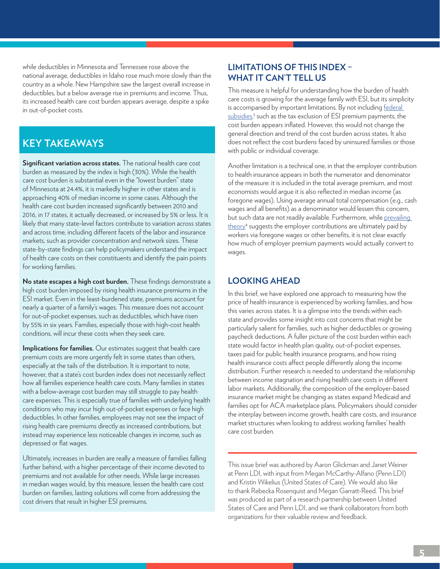while deductibles in Minnesota and Tennessee rose above the national average, deductibles in Idaho rose much more slowly than the country as a whole. New Hampshire saw the largest overall increase in deductibles, but a below average rise in premiums and income. Thus, its increased health care cost burden appears average, despite a spike in out-of-pocket costs.

# **KEY TAKEAWAYS**

**Significant variation across states.** The national health care cost burden as measured by the index is high (30%). While the health care cost burden is substantial even in the "lowest burden" state of Minnesota at 24.4%, it is markedly higher in other states and is approaching 40% of median income in some cases. Although the health care cost burden increased significantly between 2010 and 2016, in 17 states, it actually decreased, or increased by 5% or less. It is likely that many state-level factors contribute to variation across states and across time, including different facets of the labor and insurance markets, such as provider concentration and network sizes. These state-by-state findings can help policymakers understand the impact of health care costs on their constituents and identify the pain points for working families.

**No state escapes a high cost burden.** These findings demonstrate a high cost burden imposed by rising health insurance premiums in the ESI market. Even in the least-burdened state, premiums account for nearly a quarter of a family's wages. This measure does not account for out-of-pocket expenses, such as deductibles, which have risen by 55% in six years. Families, especially those with high-cost health conditions, will incur these costs when they seek care.

**Implications for families.** Our estimates suggest that health care premium costs are more urgently felt in some states than others, especially at the tails of the distribution. It is important to note, however, that a state's cost burden index does not necessarily reflect how all families experience health care costs. Many families in states with a below-average cost burden may still struggle to pay health care expenses. This is especially true of families with underlying health conditions who may incur high out-of-pocket expenses or face high deductibles. In other families, employees may not see the impact of rising health care premiums directly as increased contributions, but instead may experience less noticeable changes in income, such as depressed or flat wages.

Ultimately, increases in burden are really a measure of families falling further behind, with a higher percentage of their income devoted to premiums and not available for other needs. While large increases in median wages would, by this measure, lessen the health care cost burden on families, lasting solutions will come from addressing the [cost drivers](https://www.cbsnews.com/news/costs-are-rising-for-employer-sponsored-insurance-again/) that result in higher ESI premiums.

# **LIMITATIONS OF THIS INDEX – WHAT IT CAN'T TELL US**

This measure is helpful for understanding how the burden of health care costs is growing for the average family with ESI, but its simplicity is accompanied by important limitations. By not including [federal](https://jamanetwork.com/journals/jama/fullarticle/10.1001/jama.2017.16188)  [subsidies,](https://jamanetwork.com/journals/jama/fullarticle/10.1001/jama.2017.16188)<sup>3</sup> such as the tax exclusion of ESI premium payments, the cost burden appears inflated. However, this would not change the general direction and trend of the cost burden across states. It also does not reflect the cost burdens faced by uninsured families or those with public or individual coverage.

Another limitation is a technical one, in that the employer contribution to health insurance appears in both the numerator and denominator of the measure: it is included in the total average premium, and most economists would argue it is also reflected in median income (as foregone wages). Using average annual total compensation (e.g., cash wages and all benefits) as a denominator would lessen this concern, but such data are not readily available. Furthermore, while [prevailing](https://jamanetwork.com/journals/jama/fullarticle/2661697)  theory<sup>4</sup> [suggests](https://jamanetwork.com/journals/jama/fullarticle/2661697) the employer contributions are ultimately paid by workers via foregone wages or other benefits, it is not clear exactly how much of employer premium payments would actually convert to wages.

## **LOOKING AHEAD**

In this brief, we have explored one approach to measuring how the price of health insurance is experienced by working families, and how this varies across states. It is a glimpse into the trends within each state and provides some insight into cost concerns that might be particularly salient for families, such as higher deductibles or growing paycheck deductions. A fuller picture of the cost burden within each state would factor in health plan quality, out-of-pocket expenses, taxes paid for public health insurance programs, and how rising health insurance costs affect people differently along the income distribution. Further research is needed to understand the relationship between income stagnation and rising health care costs in different labor markets. Additionally, the composition of the employer-based insurance market might be changing as states expand Medicaid and families opt for ACA marketplace plans. Policymakers should consider the interplay between income growth, health care costs, and insurance market structures when looking to address working families' health care cost burden.

This issue brief was authored by Aaron Glickman and Janet Weiner at Penn LDI, with input from Megan McCarthy-Alfano (Penn LDI) and Kristin Wikelius (United States of Care). We would also like to thank Rebecka Rosenquist and Megan Garratt-Reed. This brief was produced as part of a research partnership between United States of Care and Penn LDI, and we thank collaborators from both organizations for their valuable review and feedback.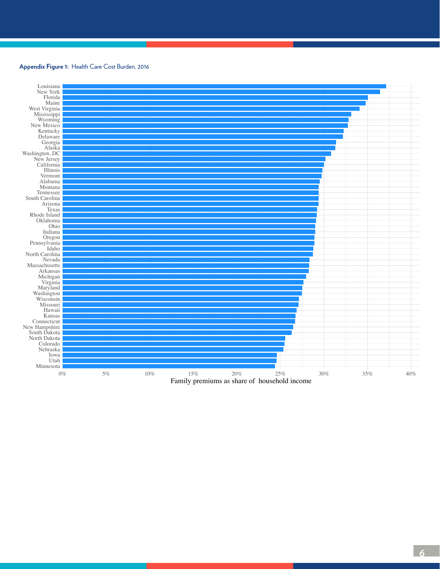## **Appendix Figure 1:** Health Care Cost Burden, 2016



**6**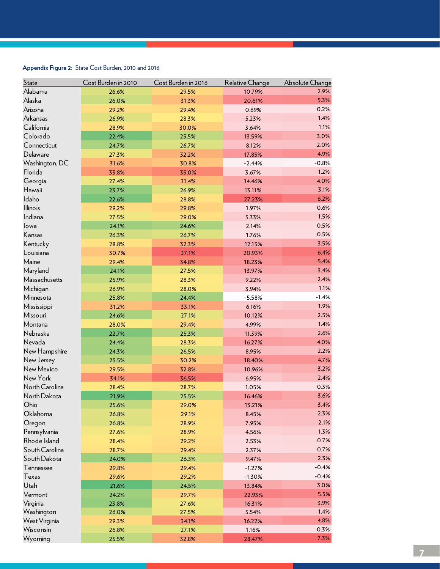## **Appendix Figure 2:** State Cost Burden, 2010 and 2016

| State           | Cost Burden in 2010 | Cost Burden in 2016 | Relative Change | <b>Absolute Change</b> |
|-----------------|---------------------|---------------------|-----------------|------------------------|
| Alabama         | 26.6%               | 29.5%               | 10.79%          | 2.9%                   |
| Alaska          | 26.0%               | 31.3%               | 20.61%          | 5.3%                   |
| Arizona         | 29.2%               | 29.4%               | 0.69%           | 0.2%                   |
| Arkansas        | 26.9%               | 28.3%               | 5.23%           | 1.4%                   |
| California      | 28.9%               | 30.0%               | 3.64%           | 1.1%                   |
| Colorado        | 22.4%               | 25.5%               | 13.59%          | 3.0%                   |
| Connecticut     | 24.7%               | 26.7%               | 8.12%           | 2.0%                   |
| Delaware        | 27.3%               | 32.2%               | 17.85%          | 4.9%                   |
| Washington, DC  | 31.6%               | 30.8%               | $-2.44%$        | $-0.8%$                |
| Florida         | 33.8%               | 35.0%               | 3.67%           | 1.2%                   |
| Georgia         | 27.4%               | 31.4%               | 14.46%          | 4.0%                   |
| Hawaii          | 23.7%               | 26.9%               | 13.11%          | 3.1%                   |
| Idaho           | 22.6%               | 28.8%               | 27.23%          | 6.2%                   |
| <b>Illinois</b> | 29.2%               | 29.8%               | 1.97%           | 0.6%                   |
| Indiana         | 27.5%               | 29.0%               | 5.33%           | 1.5%                   |
| lowa            | 24.1%               | 24.6%               | 2.14%           | 0.5%                   |
| Kansas          | 26.3%               | 26.7%               | 1.76%           | 0.5%                   |
| Kentucky        | 28.8%               | 32.3%               | 12.15%          | 3.5%                   |
| Louisiana       | 30.7%               | 37.1%               | 20.93%          | 6.4%                   |
| Maine           | 29.4%               | 34.8%               | 18.23%          | 5.4%                   |
| Maryland        | 24.1%               | 27.5%               | 13.97%          | 3.4%                   |
| Massachusetts   | 25.9%               | 28.3%               | 9.22%           | 2.4%                   |
| Michigan        | 26.9%               | 28.0%               | 3.94%           | 1.1%                   |
| Minnesota       | 25.8%               | 24.4%               | $-5.58%$        | $-1.4%$                |
| Mississippi     | 31.2%               | 33.1%               | 6.16%           | 1.9%                   |
| Missouri        | 24.6%               | 27.1%               | 10.12%          | 2.5%                   |
| Montana         | 28.0%               | 29.4%               | 4.99%           | 1.4%                   |
| Nebraska        | 22.7%               | 25.3%               | 11.39%          | 2.6%                   |
| Nevada          | 24.4%               | 28.3%               | 16.27%          | 4.0%                   |
| New Hampshire   | 24.3%               | 26.5%               | 8.95%           | 2.2%                   |
| New Jersey      | 25.5%               | 30.2%               | 18.40%          | 4.7%                   |
| New Mexico      | 29.5%               | 32.8%               | 10.96%          | 3.2%                   |
| New York        | 34.1%               | 36.5%               | 6.95%           | 2.4%                   |
| North Carolina  | 28.4%               | 28.7%               | 1.05%           | 0.3%                   |
| North Dakota    | 21.9%               | 25.5%               | 16.46%          | 3.6%                   |
| Ohio            | 25.6%               | 29.0%               | 13.21%          | 3.4%                   |
| Oklahoma        | 26.8%               | 29.1%               | 8.45%           | 2.3%                   |
| Oregon          | 26.8%               | 28.9%               | 7.95%           | 2.1%                   |
| Pennsylvania    | 27.6%               | 28.9%               | 4.56%           | 1.3%                   |
| Rhode Island    | 28.4%               | 29.2%               | 2.53%           | 0.7%                   |
| South Carolina  | 28.7%               | 29.4%               | 2.37%           | 0.7%                   |
| South Dakota    | 24.0%               | 26.3%               | 9.47%           | 2.3%                   |
| Tennessee       | 29.8%               | 29.4%               | $-1.27%$        | $-0.4%$                |
| <b>Texas</b>    | 29.6%               | 29.2%               | $-1.30%$        | $-0.4%$                |
| Utah            | 21.6%               | 24.5%               | 13.84%          | 3.0%                   |
| Vermont         | 24.2%               | 29.7%               | 22.93%          | 5.5%                   |
| Virginia        | 23.8%               | 27.6%               | 16.31%          | 3.9%                   |
| Washington      | 26.0%               | 27.5%               | 5.54%           | 1.4%                   |
| West Virginia   | 29.3%               | 34.1%               | 16.22%          | 4.8%                   |
| Wisconsin       | 26.8%               | 27.1%               | 1.16%           | 0.3%                   |
| Wyoming         | 25.5%               | 32.8%               | 28.47%          | 7.3%                   |
|                 |                     |                     |                 |                        |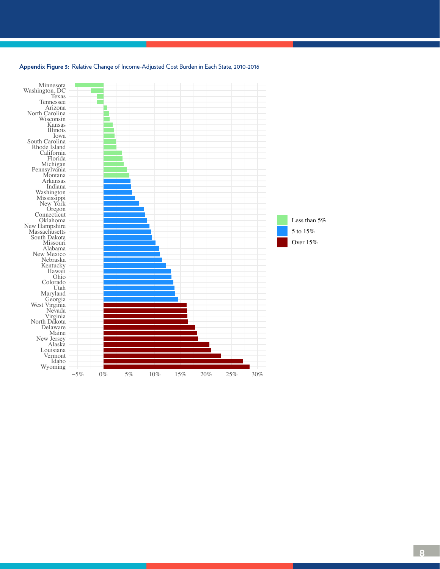

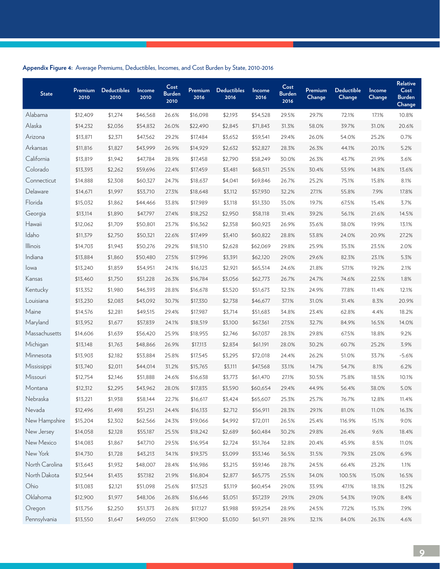## **Appendix Figure 4:** Average Premiums, Deductibles, Incomes, and Cost Burden by State, 2010-2016

| <b>State</b>    | Premium<br>2010 | <b>Deductibles</b><br>2010 | Income<br>2010 | Cost<br><b>Burden</b><br>2010 | Premium<br>2016 | <b>Deductibles</b><br>2016 | Income<br>2016 | Cost<br><b>Burden</b><br>2016 | Premium<br>Change | <b>Deductible</b><br>Change | Income<br>Change | <b>Relative</b><br>Cost<br><b>Burden</b><br>Change |
|-----------------|-----------------|----------------------------|----------------|-------------------------------|-----------------|----------------------------|----------------|-------------------------------|-------------------|-----------------------------|------------------|----------------------------------------------------|
| Alabama         | \$12,409        | \$1,274                    | \$46,568       | 26.6%                         | \$16,098        | \$2,193                    | \$54,528       | 29.5%                         | 29.7%             | 72.1%                       | 17.1%            | 10.8%                                              |
| Alaska          | \$14,232        | \$2,036                    | \$54,832       | 26.0%                         | \$22,490        | \$2,845                    | \$71,843       | 31.3%                         | 58.0%             | 39.7%                       | 31.0%            | 20.6%                                              |
| Arizona         | \$13,871        | \$2,371                    | \$47,562       | 29.2%                         | \$17,484        | \$3,652                    | \$59,541       | 29.4%                         | 26.0%             | 54.0%                       | 25.2%            | 0.7%                                               |
| Arkansas        | \$11,816        | \$1,827                    | \$43,999       | 26.9%                         | \$14,929        | \$2,632                    | \$52,827       | 28.3%                         | 26.3%             | 44.1%                       | 20.1%            | 5.2%                                               |
| California      | \$13,819        | \$1,942                    | \$47,784       | 28.9%                         | \$17,458        | \$2,790                    | \$58,249       | 30.0%                         | 26.3%             | 43.7%                       | 21.9%            | 3.6%                                               |
| Colorado        | \$13,393        | \$2,262                    | \$59,696       | 22.4%                         | \$17,459        | \$3,481                    | \$68,511       | 25.5%                         | 30.4%             | 53.9%                       | 14.8%            | 13.6%                                              |
| Connecticut     | \$14,888        | \$2,308                    | \$60,327       | 24.7%                         | \$18,637        | \$4,041                    | \$69,846       | 26.7%                         | 25.2%             | 75.1%                       | 15.8%            | 8.1%                                               |
| Delaware        | \$14,671        | \$1,997                    | \$53,710       | 27.3%                         | \$18,648        | \$3,112                    | \$57,930       | 32.2%                         | 27.1%             | 55.8%                       | 7.9%             | 17.8%                                              |
| Florida         | \$15,032        | \$1,862                    | \$44,466       | 33.8%                         | \$17,989        | \$3,118                    | \$51,330       | 35.0%                         | 19.7%             | 67.5%                       | 15.4%            | 3.7%                                               |
| Georgia         | \$13,114        | \$1,890                    | \$47,797       | 27.4%                         | \$18,252        | \$2,950                    | \$58,118       | 31.4%                         | 39.2%             | 56.1%                       | 21.6%            | 14.5%                                              |
| Hawaii          | \$12,062        | \$1,709                    | \$50,801       | 23.7%                         | \$16,362        | \$2,358                    | \$60,923       | 26.9%                         | 35.6%             | 38.0%                       | 19.9%            | 13.1%                                              |
| Idaho           | \$11,379        | \$2,750                    | \$50,321       | 22.6%                         | \$17,499        | \$3,410                    | \$60,822       | 28.8%                         | 53.8%             | 24.0%                       | 20.9%            | 27.2%                                              |
| <b>Illinois</b> | \$14,703        | \$1,943                    | \$50,276       | 29.2%                         | \$18,510        | \$2,628                    | \$62,069       | 29.8%                         | 25.9%             | 35.3%                       | 23.5%            | 2.0%                                               |
| Indiana         | \$13,884        | \$1,860                    | \$50,480       | 27.5%                         | \$17,996        | \$3,391                    | \$62,120       | 29.0%                         | 29.6%             | 82.3%                       | 23.1%            | 5.3%                                               |
| lowa            | \$13,240        | \$1,859                    | \$54,951       | 24.1%                         | \$16,123        | \$2,921                    | \$65,514       | 24.6%                         | 21.8%             | 57.1%                       | 19.2%            | 2.1%                                               |
| Kansas          | \$13,460        | \$1,750                    | \$51,228       | 26.3%                         | \$16,784        | \$3,056                    | \$62,773       | 26.7%                         | 24.7%             | 74.6%                       | 22.5%            | 1.8%                                               |
| Kentucky        | \$13,352        | \$1,980                    | \$46,393       | 28.8%                         | \$16,678        | \$3,520                    | \$51,673       | 32.3%                         | 24.9%             | 77.8%                       | 11.4%            | 12.1%                                              |
| Louisiana       | \$13,230        | \$2,083                    | \$43,092       | 30.7%                         | \$17,330        | \$2,738                    | \$46,677       | 37.1%                         | 31.0%             | 31.4%                       | 8.3%             | 20.9%                                              |
| Maine           | \$14,576        | \$2,281                    | \$49,515       | 29.4%                         | \$17,987        | \$3,714                    | \$51,683       | 34.8%                         | 23.4%             | 62.8%                       | 4.4%             | 18.2%                                              |
| Maryland        | \$13,952        | \$1,677                    | \$57,839       | 24.1%                         | \$18,519        | \$3,100                    | \$67,361       | 27.5%                         | 32.7%             | 84.9%                       | 16.5%            | 14.0%                                              |
| Massachusetts   | \$14,606        | \$1,639                    | \$56,420       | 25.9%                         | \$18,955        | \$2,746                    | \$67,037       | 28.3%                         | 29.8%             | 67.5%                       | 18.8%            | 9.2%                                               |
| Michigan        | \$13,148        | \$1,763                    | \$48,866       | 26.9%                         | \$17,113        | \$2,834                    | \$61,191       | 28.0%                         | 30.2%             | 60.7%                       | 25.2%            | 3.9%                                               |
| Minnesota       | \$13,903        | \$2,182                    | \$53,884       | 25.8%                         | \$17,545        | \$3,295                    | \$72,018       | 24.4%                         | 26.2%             | 51.0%                       | 33.7%            | $-5.6%$                                            |
| Mississippi     | \$13,740        | \$2,011                    | \$44,014       | 31.2%                         | \$15,765        | \$3,111                    | \$47,568       | 33.1%                         | 14.7%             | 54.7%                       | 8.1%             | 6.2%                                               |
| Missouri        | \$12,754        | \$2,146                    | \$51,888       | 24.6%                         | \$16,638        | \$3,773                    | \$61,470       | 27.1%                         | 30.5%             | 75.8%                       | 18.5%            | 10.1%                                              |
| Montana         | \$12,312        | \$2,295                    | \$43,962       | 28.0%                         | \$17,835        | \$3,590                    | \$60,654       | 29.4%                         | 44.9%             | 56.4%                       | 38.0%            | 5.0%                                               |
| Nebraska        | \$13,221        | \$1,938                    | \$58,144       | 22.7%                         | \$16,617        | \$3,424                    | \$65,607       | 25.3%                         | 25.7%             | 76.7%                       | 12.8%            | 11.4%                                              |
| Nevada          | \$12,496        | \$1,498                    | \$51,251       | 24.4%                         | \$16,133        | \$2,712                    | \$56,911       | 28.3%                         | 29.1%             | 81.0%                       | 11.0%            | 16.3%                                              |
| New Hampshire   | \$15,204        | \$2,302                    | \$62,566       | 24.3%                         | \$19,066        | \$4,992                    | \$72,011       | 26.5%                         | 25.4%             | 116.9%                      | 15.1%            | 9.0%                                               |
| New Jersey      | \$14,058        | \$2,128                    | \$55,187       | 25.5%                         | \$18,242        | \$2,689                    | \$60,484       | 30.2%                         | 29.8%             | 26.4%                       | 9.6%             | 18.4%                                              |
| New Mexico      | \$14,083        | \$1,867                    | \$47,710       | 29.5%                         | \$16,954        | \$2,724                    | \$51,764       | 32.8%                         | 20.4%             | 45.9%                       | 8.5%             | 11.0%                                              |
| New York        | \$14,730        | \$1,728                    | \$43,213       | 34.1%                         | \$19,375        | \$3,099                    | \$53,146       | 36.5%                         | 31.5%             | 79.3%                       | 23.0%            | 6.9%                                               |
| North Carolina  | \$13,643        | \$1,932                    | \$48,007       | 28.4%                         | \$16,986        | \$3,215                    | \$59,146       | 28.7%                         | 24.5%             | 66.4%                       | 23.2%            | 1.1%                                               |
| North Dakota    | \$12,544        | \$1,435                    | \$57,182       | 21.9%                         | \$16,804        | \$2,877                    | \$65,775       | 25.5%                         | 34.0%             | 100.5%                      | 15.0%            | 16.5%                                              |
| Ohio            | \$13,083        | \$2,121                    | \$51,098       | 25.6%                         | \$17,523        | \$3,119                    | \$60,454       | 29.0%                         | 33.9%             | 47.1%                       | 18.3%            | 13.2%                                              |
| Oklahoma        | \$12,900        | \$1,977                    | \$48,106       | 26.8%                         | \$16,646        | \$3,051                    | \$57,239       | 29.1%                         | 29.0%             | 54.3%                       | 19.0%            | 8.4%                                               |
| Oregon          | \$13,756        | \$2,250                    | \$51,373       | 26.8%                         | \$17,127        | \$3,988                    | \$59,254       | 28.9%                         | 24.5%             | 77.2%                       | 15.3%            | 7.9%                                               |
| Pennsylvania    | \$13,550        | \$1,647                    | \$49,050       | 27.6%                         | \$17,900        | \$3,030                    | \$61,971       | 28.9%                         | 32.1%             | 84.0%                       | 26.3%            | 4.6%                                               |